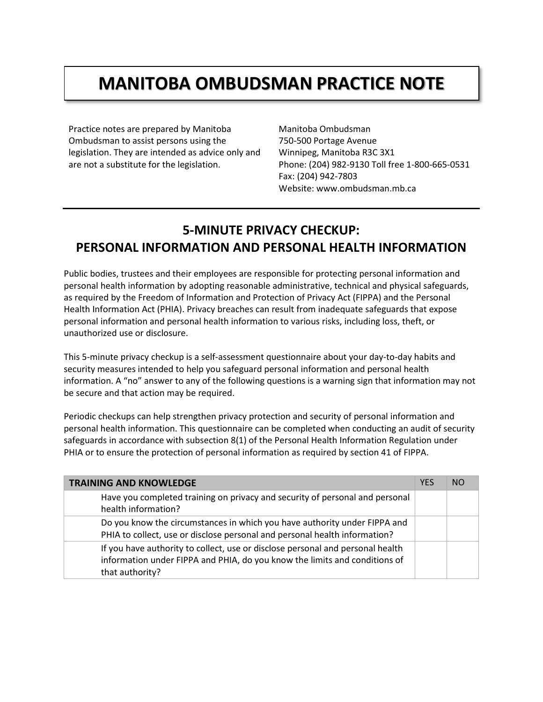## **MANITOBA OMBUDSMAN PRACTICE NOTE**

Practice notes are prepared by Manitoba Ombudsman to assist persons using the legislation. They are intended as advice only and are not a substitute for the legislation.

Manitoba Ombudsman 750-500 Portage Avenue Winnipeg, Manitoba R3C 3X1 Phone: (204) 982-9130 Toll free 1-800-665-0531 Fax: (204) 942-7803 Website: www.ombudsman.mb.ca

## **5-MINUTE PRIVACY CHECKUP: PERSONAL INFORMATION AND PERSONAL HEALTH INFORMATION**

Public bodies, trustees and their employees are responsible for protecting personal information and personal health information by adopting reasonable administrative, technical and physical safeguards, as required by the Freedom of Information and Protection of Privacy Act (FIPPA) and the Personal Health Information Act (PHIA). Privacy breaches can result from inadequate safeguards that expose personal information and personal health information to various risks, including loss, theft, or unauthorized use or disclosure.

This 5-minute privacy checkup is a self-assessment questionnaire about your day-to-day habits and security measures intended to help you safeguard personal information and personal health information. A "no" answer to any of the following questions is a warning sign that information may not be secure and that action may be required.

Periodic checkups can help strengthen privacy protection and security of personal information and personal health information. This questionnaire can be completed when conducting an audit of security safeguards in accordance with subsection 8(1) of the Personal Health Information Regulation under PHIA or to ensure the protection of personal information as required by section 41 of FIPPA.

| <b>TRAINING AND KNOWLEDGE</b>                                                                                                                                                   | <b>YES</b> | NO. |
|---------------------------------------------------------------------------------------------------------------------------------------------------------------------------------|------------|-----|
| Have you completed training on privacy and security of personal and personal<br>health information?                                                                             |            |     |
| Do you know the circumstances in which you have authority under FIPPA and<br>PHIA to collect, use or disclose personal and personal health information?                         |            |     |
| If you have authority to collect, use or disclose personal and personal health<br>information under FIPPA and PHIA, do you know the limits and conditions of<br>that authority? |            |     |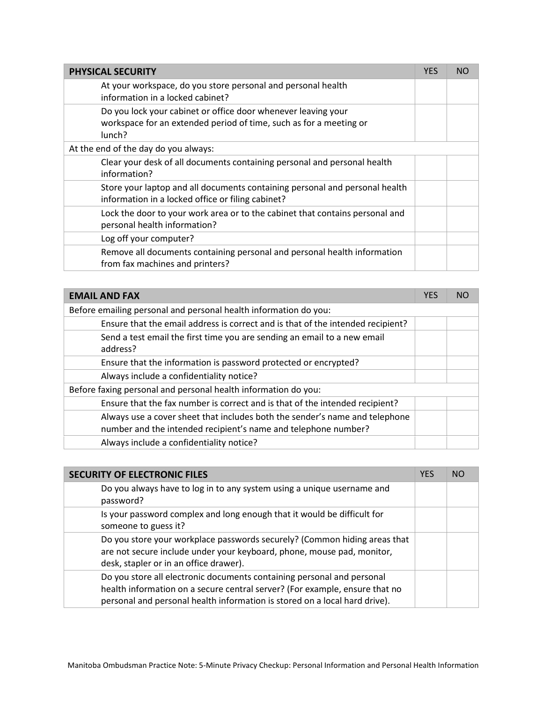| <b>PHYSICAL SECURITY</b>                                                                                                                      | <b>YES</b> | NO |
|-----------------------------------------------------------------------------------------------------------------------------------------------|------------|----|
| At your workspace, do you store personal and personal health<br>information in a locked cabinet?                                              |            |    |
| Do you lock your cabinet or office door whenever leaving your<br>workspace for an extended period of time, such as for a meeting or<br>lunch? |            |    |
| At the end of the day do you always:                                                                                                          |            |    |
| Clear your desk of all documents containing personal and personal health<br>information?                                                      |            |    |
| Store your laptop and all documents containing personal and personal health<br>information in a locked office or filing cabinet?              |            |    |
| Lock the door to your work area or to the cabinet that contains personal and<br>personal health information?                                  |            |    |
| Log off your computer?                                                                                                                        |            |    |
| Remove all documents containing personal and personal health information<br>from fax machines and printers?                                   |            |    |

| <b>EMAIL AND FAX</b>                                                                 | <b>YES</b> | NΟ |
|--------------------------------------------------------------------------------------|------------|----|
| Before emailing personal and personal health information do you:                     |            |    |
| Ensure that the email address is correct and is that of the intended recipient?      |            |    |
| Send a test email the first time you are sending an email to a new email<br>address? |            |    |
| Ensure that the information is password protected or encrypted?                      |            |    |
| Always include a confidentiality notice?                                             |            |    |
| Before faxing personal and personal health information do you:                       |            |    |
| Ensure that the fax number is correct and is that of the intended recipient?         |            |    |
| Always use a cover sheet that includes both the sender's name and telephone          |            |    |
| number and the intended recipient's name and telephone number?                       |            |    |
| Always include a confidentiality notice?                                             |            |    |

| <b>SECURITY OF ELECTRONIC FILES</b>                                                                                                                                                                                                 | <b>YES</b> | <b>NO</b> |
|-------------------------------------------------------------------------------------------------------------------------------------------------------------------------------------------------------------------------------------|------------|-----------|
| Do you always have to log in to any system using a unique username and<br>password?                                                                                                                                                 |            |           |
| Is your password complex and long enough that it would be difficult for<br>someone to guess it?                                                                                                                                     |            |           |
| Do you store your workplace passwords securely? (Common hiding areas that<br>are not secure include under your keyboard, phone, mouse pad, monitor,<br>desk, stapler or in an office drawer).                                       |            |           |
| Do you store all electronic documents containing personal and personal<br>health information on a secure central server? (For example, ensure that no<br>personal and personal health information is stored on a local hard drive). |            |           |